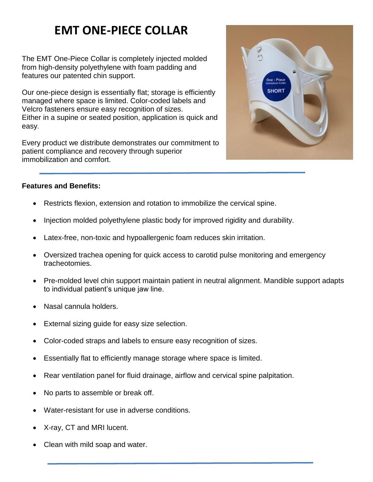# **EMT ONE-PIECE COLLAR**

The EMT One-Piece Collar is completely injected molded from high-density polyethylene with foam padding and features our patented chin support.

Our one-piece design is essentially flat; storage is efficiently managed where space is limited. Color-coded labels and Velcro fasteners ensure easy recognition of sizes. Either in a supine or seated position, application is quick and easy.

Every product we distribute demonstrates our commitment to patient compliance and recovery through superior immobilization and comfort.



# **Features and Benefits:**

- Restricts flexion, extension and rotation to immobilize the cervical spine.
- Injection molded polyethylene plastic body for improved rigidity and durability.
- Latex-free, non-toxic and hypoallergenic foam reduces skin irritation.
- Oversized trachea opening for quick access to carotid pulse monitoring and emergency tracheotomies.
- Pre-molded level chin support maintain patient in neutral alignment. Mandible support adapts to individual patient's unique jaw line.
- Nasal cannula holders.
- External sizing guide for easy size selection.
- Color-coded straps and labels to ensure easy recognition of sizes.
- Essentially flat to efficiently manage storage where space is limited.
- Rear ventilation panel for fluid drainage, airflow and cervical spine palpitation.
- No parts to assemble or break off.
- Water-resistant for use in adverse conditions.
- X-ray, CT and MRI lucent.
- Clean with mild soap and water.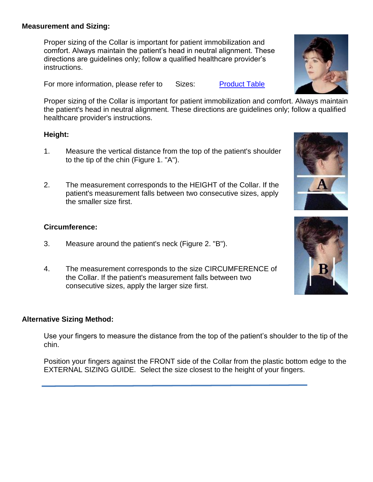#### **Measurement and Sizing:**

Proper sizing of the Collar is important for patient immobilization and comfort. Always maintain the patient's head in neutral alignment. These directions are guidelines only; follow a qualified healthcare provider's instructions.

For more information, please refer to Sizes: Product Table

Proper sizing of the Collar is important for patient immobilization and comfort. Always maintain the patient's head in neutral alignment. These directions are guidelines only; follow a qualified healthcare provider's instructions.

# **Height:**

- 1. Measure the vertical distance from the top of the patient's shoulder to the tip of the chin (Figure 1. "A").
- 2. The measurement corresponds to the HEIGHT of the Collar. If the patient's measurement falls between two consecutive sizes, apply the smaller size first.

# **Circumference:**

- 3. Measure around the patient's neck (Figure 2. "B").
- 4. The measurement corresponds to the size CIRCUMFERENCE of the Collar. If the patient's measurement falls between two consecutive sizes, apply the larger size first.

#### **Alternative Sizing Method:**

Use your fingers to measure the distance from the top of the patient's shoulder to the tip of the chin.

Position your fingers against the FRONT side of the Collar from the plastic bottom edge to the EXTERNAL SIZING GUIDE. Select the size closest to the height of your fingers.





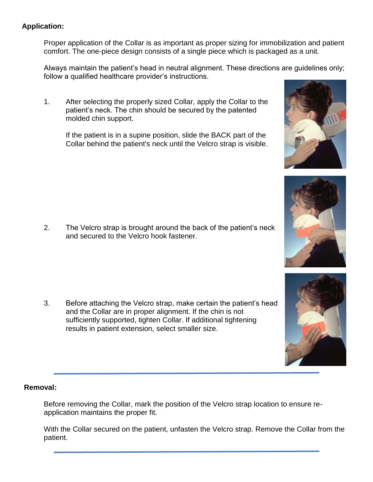# **Application:**

Proper application of the Collar is as important as proper sizing for immobilization and patient comfort. The one-piece design consists of a single piece which is packaged as a unit.

Always maintain the patient's head in neutral alignment. These directions are guidelines only; follow a qualified healthcare provider's instructions.

1. After selecting the properly sized Collar, apply the Collar to the patient's neck. The chin should be secured by the patented molded chin support.

If the patient is in a supine position, slide the BACK part of the Collar behind the patient's neck until the Velcro strap is visible.

2. The Velcro strap is brought around the back of the patient's neck and secured to the Velcro hook fastener.

3. Before attaching the Velcro strap, make certain the patient's head and the Collar are in proper alignment. If the chin is not sufficiently supported, tighten Collar. If additional tightening results in patient extension, select smaller size.

# **Removal:**

Before removing the Collar, mark the position of the Velcro strap location to ensure reapplication maintains the proper fit.

With the Collar secured on the patient, unfasten the Velcro strap. Remove the Collar from the patient.